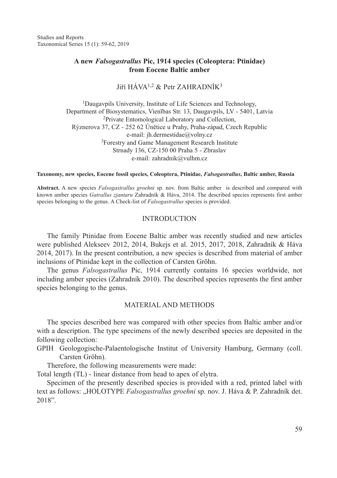Studies and Reports Taxonomical Series 15 (1): 59-62, 2019

# **A new** *Falsogastrallus* **Pic, 1914 species (Coleoptera: Ptinidae) from Eocene Baltic amber**

Jiří  $H\acute{A}VA^{1,2}$  & Petr ZAHRADNÍK<sup>3</sup>

<sup>1</sup>Daugavpils University, Institute of Life Sciences and Technology, Department of Biosystematics, Vienības Str. 13, Daugavpils, LV - 5401, Latvia <sup>2</sup>Private Entomological Laboratory and Collection, Rýznerova 37, CZ - 252 62 Únětice u Prahy, Praha-západ, Czech Republic e-mail: jh.dermestidae@volny.cz <sup>3</sup>Forestry and Game Management Research Institute Strnady 136, CZ-150 00 Praha 5 - Zbraslav e-mail: zahradnik@vulhm.cz

#### **Taxonomy, new species, Eocene fossil species, Coleoptera, Ptinidae,** *Falsogastrallus***, Baltic amber, Russia**

**Abstract.** A new species *Falsogastrallus groehni* sp. nov. from Baltic amber is described and compared with known amber species *Gatrallus zjantaru* Zahradník & Háva, 2014. The described species represents first amber species belonging to the genus. A Check-list of *Falsogastrallus* species is provided.

## **INTRODUCTION**

The family Ptinidae from Eocene Baltic amber was recently studied and new articles were published Alekseev 2012, 2014, Bukejs et al. 2015, 2017, 2018, Zahradník & Háva 2014, 2017). In the present contribution, a new species is described from material of amber inclusions of Ptinidae kept in the collection of Carsten Gröhn.

The genus *Falsogastrallus* Pic, 1914 currently contains 16 species worldwide, not including amber species (Zahradník 2010). The described species represents the first amber species belonging to the genus.

## Material and Methods

The species described here was compared with other species from Baltic amber and/or with a description. The type specimens of the newly described species are deposited in the following collection:

GPIH Geologogische-Palaentologische Institut of University Hamburg, Germany (coll. Carsten Gröhn).

Therefore, the following measurements were made:

Total length (TL) - linear distance from head to apex of elytra.

Specimen of the presently described species is provided with a red, printed label with text as follows: "HOLOTYPE *Falsogastrallus groehni* sp. nov. J. Háva & P. Zahradník det. 2018".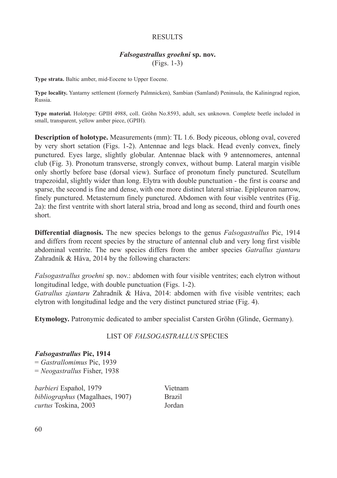# **RESULTS**

# *Falsogastrallus groehni* **sp. nov.** (Figs. 1-3)

**Type strata.** Baltic amber, mid-Eocene to Upper Eocene.

**Type locality.** Yantarny settlement (formerly Palmnicken), Sambian (Samland) Peninsula, the Kaliningrad region, Russia.

**Type material.** Holotype: GPIH 4988, coll. Gröhn No.8593, adult, sex unknown. Complete beetle included in small, transparent, yellow amber piece, (GPIH).

**Description of holotype.** Measurements (mm): TL 1.6. Body piceous, oblong oval, covered by very short setation (Figs. 1-2). Antennae and legs black. Head evenly convex, finely punctured. Eyes large, slightly globular. Antennae black with 9 antennomeres, antennal club (Fig. 3). Pronotum transverse, strongly convex, without bump. Lateral margin visible only shortly before base (dorsal view). Surface of pronotum finely punctured. Scutellum trapezoidal, slightly wider than long. Elytra with double punctuation - the first is coarse and sparse, the second is fine and dense, with one more distinct lateral striae. Epipleuron narrow, finely punctured. Metasternum finely punctured. Abdomen with four visible ventrites (Fig. 2a): the first ventrite with short lateral stria, broad and long as second, third and fourth ones short.

**Differential diagnosis.** The new species belongs to the genus *Falsogastrallus* Pic, 1914 and differs from recent species by the structure of antennal club and very long first visible abdominal ventrite. The new species differs from the amber species *Gatrallus zjantaru* Zahradník & Háva, 2014 by the following characters:

*Falsogastrallus groehni* sp. nov.: abdomen with four visible ventrites; each elytron without longitudinal ledge, with double punctuation (Figs. 1-2).

*Gatrallus zjantaru* Zahradník & Háva, 2014: abdomen with five visible ventrites; each elytron with longitudinal ledge and the very distinct punctured striae (Fig. 4).

**Etymology.** Patronymic dedicated to amber specialist Carsten Gröhn (Glinde, Germany).

#### LIST OF *FALSOGASTRALLUS* SPECIES

### *Falsogastrallus* **Pic, 1914**

= *Gastrallomimus* Pic, 1939 = *Neogastrallus* Fisher, 1938

*barbieri* Español, 1979 Vietnam *bibliographus* (Magalhaes, 1907) Brazil *curtus* Toskina, 2003 Jordan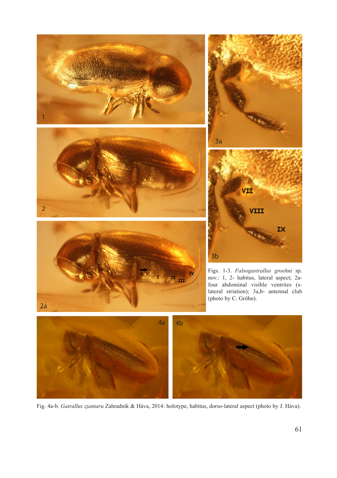

Fig. 4a-b. *Gatrallus zjantaru* Zahradník & Háva, 2014: holotype, habitus, dorso-lateral aspect (photo by J. Háva).